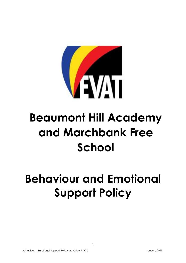

# **Beaumont Hill Academy and Marchbank Free School**

## **Behaviour and Emotional Support Policy**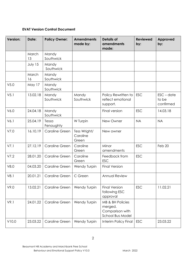## **EVAT Version Control Document**

| <b>Version:</b>  | Date:       | <b>Policy Owner:</b>      | <b>Amendments</b><br>made by:     | <b>Details of</b><br>amendments<br>made:                           | <b>Reviewed</b><br>by: | Approved<br>by:                             |
|------------------|-------------|---------------------------|-----------------------------------|--------------------------------------------------------------------|------------------------|---------------------------------------------|
|                  | March<br>13 | Mandy<br>Southwick        |                                   |                                                                    |                        |                                             |
|                  | July 15     | Mandy<br>Southwick        |                                   |                                                                    |                        |                                             |
|                  | March<br>16 | Mandy<br>Southwick        |                                   |                                                                    |                        |                                             |
| V5.0             | May 17      | Mandy<br>Southwick        |                                   |                                                                    |                        |                                             |
| V <sub>5.1</sub> | 13.02.18    | Mandy<br>Southwick        | Mandy<br>Southwick                | Policy Rewritten to<br>reflect emotional<br>support.               | <b>ESC</b>             | $\mathsf{ESC}$ – date<br>to be<br>confirmed |
| V6.0             | 24.04.18    | Mandy<br>Southwick        |                                   | Final version                                                      | <b>ESC</b>             | 14.03.18                                    |
| V6.1             | 25.04.19    | Tessa<br>Fenoughty        | W Turpin                          | New Owner                                                          | <b>NA</b>              | <b>NA</b>                                   |
| V7.0             | 16.10.19    | Caroline Green            | Tess Wright/<br>Caroline<br>Green | New owner                                                          |                        |                                             |
| V7.1             | 27.12.19    | <b>Caroline Green</b>     | Caroline<br>Green                 | Minor<br>amendments                                                | <b>ESC</b>             | Feb 20                                      |
| V7.2             | 28.01.20    | <b>Caroline Green</b>     | Caroline<br>Green                 | Feedback from<br><b>ESC</b>                                        | <b>ESC</b>             |                                             |
| V8.0             | 04.03.20    | <b>Caroline Green</b>     | Wendy Turpin                      | <b>Final Version</b>                                               |                        |                                             |
| V8.1             |             | 20.01.21   Caroline Green | C Green                           | Annual Review                                                      |                        |                                             |
| V9.0             | 13.02.21    | <b>Caroline Green</b>     | Wendy Turpin                      | <b>Final Version</b><br>following ESC<br>approval                  | <b>ESC</b>             | 11.02.21                                    |
| V9.1             | 24.01.22    | <b>Caroline Green</b>     | Wendy Turpin                      | MB & BH Policies<br>merged.<br>Comparison with<br>School Bus Model |                        |                                             |
| V10.0            | 23.03.22    | <b>Caroline Green</b>     | Wendy Turpin                      | Interim Policy Final                                               | <b>ESC</b>             | 23.03.22                                    |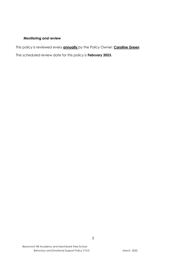## **Monitoring and review**

This policy is reviewed every **annually** by the Policy Owner: **Caroline Green**

The scheduled review date for this policy is **February 2023.**

3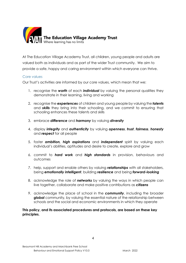

At The Education Village Academy Trust, all children, young people and adults are valued both as individuals and as part of the wider Trust community. We aim to provide a safe, happy and caring environment within which everyone can thrive.

## Core values

Our Trust's activities are informed by our core values, which mean that we:

- 1. recognise the *worth* of each *individual* by valuing the personal qualities they demonstrate in their learning, living and working
- 2. recognise the *experiences* of children and young people by valuing the *talents* and *skills* they bring into their schooling, and we commit to ensuring that schooling enhances these talents and skills
- 3. embrace *difference* and *harmony* by valuing *diversity*
- 4. display *integrity* and *authenticity* by valuing *openness*, *trust*, *fairness*, *honesty* and *respect* for all people
- 5. foster *ambition, high aspirations* and *independent* spirit by valuing each individual's abilities, aptitudes and desire to create, explore and grow
- 6. commit to *hard work* and *high standards* in provision, behaviours and outcomes
- 7. help, support and enable others by valuing *relationships* with all stakeholders, being *emotionally intelligent*, building *resilience* and being *forward-looking*
- 8. acknowledge the role of *networks* by valuing the ways in which people can live together, collaborate and make positive contributions as *citizens*
- 9. acknowledge the place of school in the *community*, including the broader *global* community, by valuing the essential nature of the relationship between schools and the social and economic environments in which they operate

**This policy, and its associated procedures and protocols, are based on these key principles.**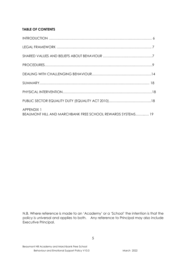## **TABLE OF CONTENTS**

| <b>APPENDIX 1</b><br>BEAUMONT HILL AND MARCHBANK FREE SCHOOL REWARDS SYSTEMS 19 |  |
|---------------------------------------------------------------------------------|--|

N.B. Where reference is made to an 'Academy' or a 'School' the intention is that the policy is universal and applies to both. Any reference to Principal may also include Executive Principal.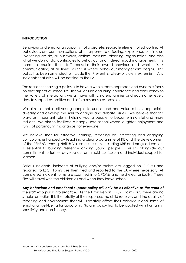## **INTRODUCTION**

Behaviour and emotional support is not a discrete, separate element of school life. All behaviours are communications, all in response to a feeling, experience or stimulus. Everything we do, all our words, actions, postures, planning, organisation, and also what we do not do, contributes to behaviour and indeed mood management. It is therefore crucial that staff consider their own behaviour and what this is communicating at all times, as this is where behaviour management begins. This policy has been amended to include the 'Prevent' strategy of violent extremism. Any incidents that arise will be notified to the LA.

The reason for having a policy is to have a whole team approach and dynamic focus on that aspect of school life. This will ensure and bring coherence and consistency to the variety of interactions we all have with children, families and each other every day, to support as positive and safe a response as possible.

We aim to enable all young people to understand and value others, appreciate diversity and develop the skills to analyse and debate issues. We believe that this plays an important role in helping young people to become insightful and more resilient. We aim to facilitate a happy, safe school where laughter, enjoyment and fun is of paramount importance, for everyone!

We believe that for effective learning, teaching an interesting and engaging curriculum, enhanced by teaching a clear programme of RE and the development of the PSHE/Citizenship/British Values curriculum, including SRE and drugs education, is essential to building resilience among young people. This sits alongside our commitment to further develop our anti-racist curriculum and individual support for learners.

Serious incidents, incidents of bullying and/or racism are logged on CPOMs and reported to ESC. Forms are then filed and reported to the LA where necessary. All completed incident forms are scanned into CPOMs and held electronically. These files will travel with the children as and when they leave school.

*Any behaviour and emotional support policy will only be as effective as the work of the staff who put it into practice.* As the Elton Report (1989) points out, there are no simple remedies. It is the totality of the responses the child receives and the quality of teaching and environment that will ultimately affect their behaviour and sense of emotional well-being for good or ill. So any policy has to be applied with humanity, sensitivity and consistency.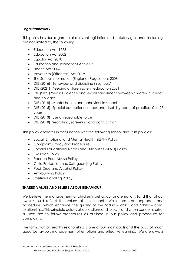## **Legal framework**

This policy has due regard to all relevant legislation and statutory guidance including, but not limited to, the following:

- Education Act 1996
- Education Act 2002
- Equality Act 2010
- Education and Inspections Act 2006
- Health Act 2006
- Voyeurism (Offences) Act 2019
- The School Information (England) Regulations 2008
- DfE (2016) 'Behaviour and discipline in schools'
- DfE (2021) 'Keeping children safe in education 2021'
- DfE (2021) 'Sexual violence and sexual harassment between children in schools and colleges'
- DfE (2018) 'Mental health and behaviour in schools'
- DfE (2015) 'Special educational needs and disability code of practice: 0 to 25 years'
- DfE (2013) 'Use of reasonable force
- DfE (2018) 'Searching, screening and confiscation'

This policy operates in conjunction with the following school and Trust policies:

- Social, Emotional and Mental Health (SEMH) Policy
- Complaints Policy and Procedure
- Special Educational Needs and Disabilities (SEND) Policy
- Exclusion Policy
- Peer-on-Peer Abuse Policy
- Child Protection and Safeguarding Policy
- Pupil Drug and Alcohol Policy
- Anti-bullying Policy
- Positive Handling Policy

## **SHARED VALUES AND BELIEFS ABOUT BEHAVIOUR**

We believe the management of children's behaviour and emotions (and that of our own) should reflect the values of the schools. We choose an approach and procedures which enhance the quality of the 'adult – child' and 'child – child' relationships. This principle guides all our actions and rules. If and when concerns arise, all staff are to follow procedures as outlined in our policy and procedure for complaints.

The formation of healthy relationships is one of our main goals and the basis of much good behaviour, management of emotions and effective learning. We are always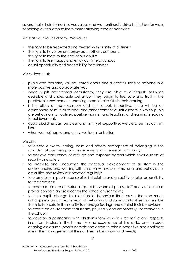aware that all discipline involves values and we continually strive to find better ways of helping our children to learn more satisfying ways of behaving.

We state our values clearly. We value:

- the right to be respected and treated with dignity at all times;
- $\cdot$  the right to have fun and enjoy each other's company;
- $\cdot$  the right to learn to the best of our ability;
- $\cdot$  the right to feel happy and enjoy our time at school;
- equal opportunity and accessibility for everyone.

We believe that:

- pupils who feel safe, valued, cared about and successful tend to respond in a more positive and appropriate way;
- when pupils are treated consistently, they are able to distinguish between desirable and undesirable behaviour, they begin to feel safe and trust in the predictable environment, enabling them to take risks in their learning;
- if the ethos of the classroom and the schools is positive, there will be an atmosphere of mutual respect and enhancement of self-esteem in which pupils are behaving in an actively positive manner, and teaching and learning is leading to achievement;
- good discipline can be clear and firm, yet supportive; we describe this as 'firm love'
- when we feel happy and enjoy, we learn far better.

We aim:

- to create a warm, caring, calm and orderly atmosphere of belonging in the schools that positively promotes learning and a sense of community;
- to achieve consistency of attitude and response by staff which gives a sense of security and safety;
- to promote and encourage the continual development of all staff in the understanding and working with children with social, emotional and behavioural difficulties and review our practice regularly;
- to promote in all pupils a sense of self-discipline and an ability to take responsibility for their actions;
- to create a climate of mutual respect between all pupils, staff and visitors and a proper concern and respect for the school environment ;
- to help pupils change their anti-social behaviour that causes them so much unhappiness and to learn ways of behaving and solving difficulties that enable them to feel safe in their ability to manage feelings and control their behaviours;
- to create an environment that is safe, physically and emotionally, for everyone in the schools;
- to develop a partnership with children's families which recognise and respects important factors in the home life and experience of the child, and through ongoing dialogue supports parents and carers to take a proactive and confident role in the management of their children's behaviour and needs;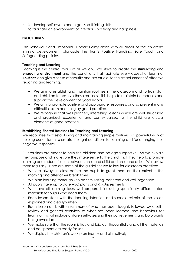- to develop self-aware and organised thinking skills;
- to facilitate an environment of infectious positivity and happiness.

#### **PROCEDURES**

The Behaviour and Emotional Support Policy deals with all areas of the children's intrinsic development, alongside the Trust's Positive Handling, Safe Touch and Safeguarding policies.

#### **Teaching and Learning**

Learning is the central focus of all we do. We strive to create the **stimulating and engaging environment** and the conditions that facilitate every aspect of learning. **Routines** also give a sense of security and are crucial to the establishment of effective teaching and learning.

- We aim to establish and maintain routines in the classroom and to train staff and children to observe these routines. This helps to maintain boundaries and support the development of good habits.
- We aim to promote positive and appropriate responses, and so prevent many difficulties from occurring by good practice.
- We recognise that well planned, interesting lessons which are well structured and organised, experiential and contextualised to the child are crucial elements of good practice.

#### **Establishing Shared Routines for Teaching and Learning**

We recognise that establishing and maintaining simple routines is a powerful way of helping our children to create the right conditions for learning and for changing their negative responses.

Our routines are meant to help the children and be ego-supportive. So we explain their purpose and make sure they make sense to the child; that they help to promote learning and reduce friction between child and child and child and adult. We review them regularly. Here are some of the guidelines we follow for classroom practice:

- We are always in class before the pupils to greet them on their arrival in the morning and after other break times.
- We plan learning thoroughly to be stimulating, coherent and well-organised.
- All pupils have up to date ABC plans and Risk Assessments
- We have all learning tasks well prepared, including specifically differentiated materials for pupils who need them.
- Each lesson starts with the learning intention and success criteria of the lesson explained and clearly written.
- Each lesson ends with a summary of what has been taught, followed by a self review and general overview of what has been learned and behaviour for learning, this will include children self-assessing their achievements and Dojo points being awarded.
- We make sure that the room is tidy and laid out thoughtfully and all the materials and equipment are ready for use.
- We display the children's work prominently and attractively.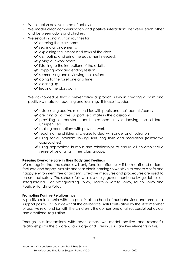- We establish positive norms of behaviour.
- We model clear communication and positive interactions between each other and between adults and children.
- We establish and insist on routines for:
	- $\blacktriangleright$  entering the classroom;
	- ◆ seating arrangements;
	- $\blacktriangleright$  explaining the lessons and tasks of the day;
	- $\blacktriangleright$  distributing and using the equipment needed;
	- ✔ giving out work books;
	- $\blacktriangleright$  listening to the instructions of the adults;
	- $\blacktriangleright$  stopping work and ending sessions;
	- $\blacktriangleright$  summarising and reviewing the session;
	- $\blacktriangleright$  going to the toilet one at a time;
	- ◆ clearing up;
	- $\blacktriangleright$  leaving the classroom.

We acknowledge that a preventative approach is key in creating a calm and positive climate for teaching and learning. This also includes:

- ✔ establishing positive relationships with pupils and their parents/carers
- $\triangleright$  creating a positive supportive climate in the classroom
- ✔ providing a constant adult presence, never leaving the children unsupervised
- $\blacktriangleright$  making connections with previous work
- ✔ teaching the children strategies to deal with anger and frustration
- ✔ using social problem solving skills, ring time and mediation (restorative approaches)
- ✔ using appropriate humour and relationships to ensure all children feel a sense of belonging in their class groups.

## **Keeping Everyone Safe in Their Body and Feelings**

We recognise that the schools will only function effectively if both staff and children feel safe and happy. Anxiety and fear block learning so we strive to create a safe and happy environment free of anxiety. Effective measures and procedures are used to ensure that safety. The schools follow all statutory, government and LA guidelines on safeguarding. (See Safeguarding Policy, Health & Safety Policy, Touch Policy and Positive Handling Policy).

## **Promoting Positive Relationships**

A positive relationship with the pupil is at the heart of our behaviour and emotional support policy. It is our view that the deliberate, skilful cultivation by the staff member of positive relationships with the children is the cornerstone of all successful behaviour and emotional regulation.

Through our interactions with each other, we model positive and respectful relationships for the children. Language and listening skills are key elements in this.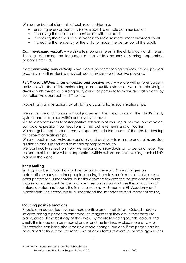We recognise that elements of such relationships are:

- ensuring every opportunity is developed to enable communication
- increasing the child's communication with the adult
- increasing the child's responsiveness to social reinforcement provided by all
- increasing the tendency of the child to model the behaviour of the adult.

*Communicating verbally –* we strive to show an interest in the child's work and interest, listening, decoding the language of the child's responses, sharing appropriate personal interests.

*Communicating non-verbally -* we adopt non-threatening stances, smiles, physical proximity, non-threatening physical touch, awareness of positive postures.

**Relating to children in an empathic and positive way –** we are willing to engage in activities with the child, maintaining a non-punitive stance. We maintain straight dealing with the child, building trust, giving opportunity to make reparation and by our reflective approach to difficulties.

Modelling in all interactions by all staff is crucial to foster such relationships.

We recognise and honour without judgement the importance of the child's family system, and their place within and loyalty to these.

We take opportunities to foster positive relationships by using a positive tone of voice, our facial expressions, our reactions to their achievements and difficulties.

We recognise that there are many opportunities in the course of the day to develop this aspect of relationships.

We use touch proactively, appropriately and positively to reassure and calm, provide guidance and support and to model appropriate touch.

We continually reflect on how we respond to individuals on a personal level. We celebrate all birthdays where appropriate within cultural context, valuing each child's place in the world.

## **Keep Smiling**

Smiling may be a good habitual behaviour to develop. Smiling triggers an automatic response in other people, causing them to smile in return. It also makes other people feel subconsciously better disposed towards the person who is smiling. It communicates confidence and openness and also stimulates the production of natural opiates and boosts the immune system. At Beaumont Hill Academy and Marchbank Free School we truly understand the importance and impact of smiling.

## **Inducing positive emotions**

People can be guided towards more positive emotional states. Guided imagery involves asking a person to remember or imagine that they are in their favourite place, or recall the best day of their lives. By mentally adding sounds, colours and smells the image can be made stronger and the feelings evoked more powerful. This exercise can bring about positive mood change, but only if the person can be persuaded to try out the exercise. Like all other forms of exercise, mental gymnastics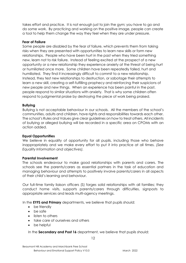takes effort and practice. It is not enough just to join the gym; you have to go and do some work. By practicing and working on the positive image, people can create a tool to help them change the way they feel when they are under pressure.

#### **Fear of Failure**

Some people are disabled by the fear of failure, which prevents them from taking risks when they are presented with opportunities to learn new skills or form new relationships. People who have been hurt in the past when they tried something new, learn not to risk failure. Instead of feeling excited at the prospect of a new opportunity or a new relationship they experience anxiety at the threat of being hurt or humiliated once more. Some children have been repeatedly failed, hurt and humiliated. They find it increasingly difficult to commit to a new relationship. Instead, they test new relationships to destruction, or sabotage their attempts to learn a new skill, creating a self-fulfilling prophecy and reinforcing their suspicions of new people and new things. When an experience has been painful in the past, people respond to similar situations with anxiety. That is why some children often respond to judgmental praise by destroying the piece of work being praised.

#### **Bullying**

Bullying is not acceptable behaviour in our schools. All the members of the school's communities, adults and children, have rights and responsibilities towards each other. The school's Rules and Values give clear guidelines on how to treat others. All incidents of bullying or alleged bullying will be recorded in a specific area on CPOMs with an action added.

## **Equal Opportunities**

We believe in equality of opportunity for all pupils, including those who behave inappropriately and we make every effort to put it into practice at all times. *(See Equality Information and objectives).* 

#### **Parental Involvement**

The schools endeavour to make good relationships with parents and carers. The schools see the parents/carers as essential partners in the task of education and managing behaviour and attempts to positively involve parents/carers in all aspects of their child's learning and behaviour.

Our full-time family liaison officers (S) forges solid relationships with all families; they conduct home visits, supports parents/carers through difficulties, signposts to appropriate services and leads multi-agency meetings.

In the **EYFS and Primary** departments, we believe that pupils should:

- be friendly
- be safe
- listen to others
- take care of ourselves and others
- be helpful

In the **Secondary and Post 16** department, we believe that pupils should: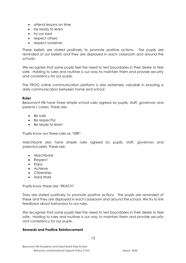- attend lessons on time
- be ready to learn
- try our best
- respect others
- respect ourselves

These beliefs are stated positively to promote positive actions. The pupils are reminded of our beliefs and they are displayed in each classroom and around the schools.

We recognise that some pupils feel the need to test boundaries in their desire to feel safe. Holding to rules and routines is our way to maintain them and provide security and consistency for our pupils.

The FROG online communication platform is also extremely valuable in ensuring a daily communication between home and school.

## **Rules**

Beaumont Hill have three simple school rules agreed by pupils, staff, governors and parents / carers. These are:

- Be safe
- Be respectful
- Be ready to learn

Pupils know our three rules as "SRR".

Marchbank also have simple rules agreed by pupils, staff, governors and parents/carers. These are:

- Marchbank
- Respect
- Enjoy
- Achieve
- Citizenship
- Hard Work

Pupils know these are "REACH"

They are stated positively to promote positive actions. The pupils are reminded of these and they are displayed in each classroom and around the school. We try to link feedback about behaviour to our rules.

We recognise that some pupils feel the need to test boundaries in their desire to feel safe. Holding to rules and routines is our way to maintain them and provide security and consistency for our pupils.

#### **Rewards and Positive Reinforcement**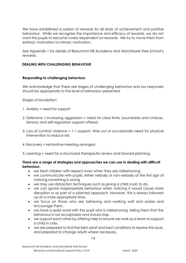We have established a system of rewards for all kinds of achievement and positive behaviour. While we recognise the importance and efficacy of rewards, we do not want the pupils to become overly dependent on rewards. We try to move them from extrinsic motivation to intrinsic motivation.

See Appendix 1 for details of Beaumont Hill Academy and Marchbank Free School's rewards.

## **DEALING WITH CHALLENGING BEHAVIOUR**

## **Responding to challenging behaviour.**

We acknowledge that there are stages of challenging behaviour and our responses should be appropriate to the level of behaviour presented.

Stages of escalation:

- 1. Anxiety = need for support
- 2. Defensive / increasing aggression = need for clear limits, boundaries and choices. Sensory and self-regulation support offered.
- 3. Loss of control/ violence = 1-1 support, time out or occasionally need for physical intervention to reduce risk.
- 4. Recovery = restorative meeting arranged
- 5. Learning = need for a structured therapeutic review and forward planning.

#### **There are a range of strategies and approaches we can use in dealing with difficult behaviour.**

- we treat children with respect even when they are misbehaving.
- we communicate with pupils, either verbally or non-verbally at the first sign of noticing something is wrong
- we may use distraction techniques such as giving a child a job to do.
- we can ignore inappropriate behaviour when noticing it would cause more disruption or as part of a planned approach. However, this is always followed up at a more appropriate time.
- we focus on those who are behaving and working well and praise and encourage them.
- we have a quiet word with the pupil who is misbehaving, telling them that the behaviour is not acceptable and should stop.
- we support each other by offering help to ensure we work as a team to support a child in crisis.
- we are prepared to find the best adult and best conditions to resolve the issue, and prepared to change adults where necessary.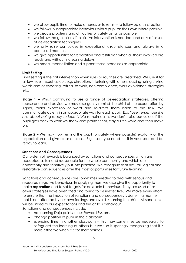- we allow pupils time to make amends or take time to follow up an instruction.
- we follow up inappropriate behaviour with a pupil on their own where possible.
- we discuss problems and difficulties privately as far as possible.
- we follow the quidelines if restrictive intervention is needed, and only after use of de-escalation techniques.
- we only raise our voices in exceptional circumstances and always in a controlled manner.
- we give opportunities for reparation and restitution when all those involved are ready and without increasing delays.
- we model reconciliation and support these processes as appropriate.

## **Limit Setting**

Limit setting is the first intervention when rules or routines are breached. We use it for all low level misbehaviour, e.g. disruption, interfering with others, cussing, using unkind words and or swearing, refusal to work, non-compliance, work avoidance strategies etc.

**Stage 1 –** Whilst continuing to use a range of de-escalation strategies, offering reassurance and advice we may also gently remind the child of the expectation by signal, facial expression or word and re-direct them back to the task. We communicate quietly in an appropriate way for each pupil. E.g. *"Lee, remember the rule about being ready to learn".* We remain calm, we don't raise our voice. If the pupil gets back to work we thank and praise them, stay a little while and then move on.

**Stage 2 –** We may now remind the pupil (privately where possible) explicitly of the expectation and give clear choices. E.g. "Lee, you need to sit in your seat and be ready to learn.

## **Sanctions and Consequences**

Our system of rewards is balanced by sanctions and consequences which are accepted as fair and reasonable for the whole community and which are consistently and sensitively put into practice. We recognise that natural, logical and restorative consequences offer the most opportunities for future learning.

Sanctions and consequences are sometimes needed to deal with serious and repeated negative behaviour. In applying them we also give the opportunity to make **reparation** and to set targets for desirable behaviour. They are used after other strategies have been tried and found to be ineffective. We make every effort to ensure that the imposition of sanctions and consequences is done in a manner that is not affected by our own feelings and avoids shaming the child. All sanctions will be linked to our expectations and the child's behaviour. Sanctions and consequences include:

- not earning Dojo points in our Reward System.
- change position of pupil in the classroom.
- spending time in another classroom this may sometimes be necessary to safeguard the learning of others but we use it sparingly recognising that it is more effective when it is for short periods.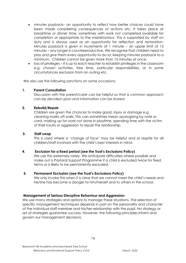- minutes payback– an opportunity to reflect how better choices could have been made considering consequences of actions etc. It takes place at breaktime or dinner time, sometimes with work not completed available for completion or appropriate to the misbehaviour. This is supported by staff on duty and is always used as an opportunity for reflection and restoration. Minutes payback is given in increments of 1 minute – an upper limit of 15 minutes – any longer is counterproductive. We recognise that children need to play and give them every opportunity to do so, keeping minutes payback to a minimum. Children cannot be given more than 15 minutes at once.
- loss of privileges it is up to each teacher to establish privileges in the classroom e.g. chosen activities, free time, particular responsibilities, or in some circumstances exclusion from an outing etc.

We also use the following sanctions on some occasions:

#### **1. Parent Consultation**

Discussion with the parent/carer can be helpful so that a common approach can be decided upon and information can be shared.

#### **2. Rebuild/Repair**

Children are given the chances to make good, injury or damage e.g. cleaning marks off walls. This can sometimes mean apologising by note or card, making up for work not done in playtime, spending time with the victim of their insults or aggression to repair the relationship.

#### **3. Staff swap**

This is used where a 'change of face' may be helpful and or respite for all children/staff involved with the child's best interests in mind.

## **4. Exclusion for a fixed period (see the Trust's Exclusions Policy)**

We use this extremely rarely. We anticipate difficulties where possible and make out a Pastoral Support Programme if a child is excluded twice for fixed terms or is likely to be permanently excluded.

#### **5. Permanent Exclusion (see the Trust's Exclusions Policy)**

We only invoke this when it is clear that we cannot meet the child's needs and he/she has become a danger to him/herself and to others in the school.

#### **Management of Serious Disruptive Behaviour and Aggression**

We use many strategies and options to manage these situations. The selection of specific management techniques depends in part on the personality and character of the individual staff member and his/her relationship with the pupil. No strategy or set of strategies guarantee success. However, the following principles inform and govern our management decisions.

16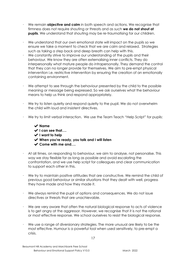- We remain **objective and calm** in both speech and actions. We recognise that firmness does not require shouting or threats and as such **we do not shout at pupils**. We understand that shouting may be re-traumatising for our children.
- We understand that our own emotional state will impact on the pupils so we ensure we take a moment to check that we are calm and relaxed. Strategies such as taking a step back and deep breath can help with this.
- We constantly strive to improve our understanding of the pupils and their behaviour. We know they are often externalising inner conflicts. They do interpersonally what mature people do intrapersonally. They demand the control that they can no longer provide for themselves. We aim to pre-empt physical intervention i.e. restrictive intervention by ensuring the creation of an emotionally containing environment.
- We attempt to see through the behaviour presented by the child to the possible meaning or message being expressed. So we ask ourselves what the behaviour means to help us think and respond appropriately.
- We try to listen quietly and respond quietly to the pupil. We do not overwhelm the child with loud and insistent directives.
- We try to limit verbal interaction. We use the Team Teach "Help Script" for pupils:
	- ✔ **Name**
	- ✔ **I can see that….**
	- ✔ **I want to help**
	- ✔ **When you're ready, you talk and I will listen**
	- ✔ **Come with me and….**
- At all times, on responding to behaviour, we aim to analyse, not personalise. This way we stay flexible for as long as possible and avoid escalating the confrontation, and we use help script for colleagues and clear communication to support each other in this.
- We try to maintain positive attitudes that are constructive. We remind the child of previous good behaviour or similar situations that they dealt with well, progress they have made and how they made it.
- We always remind the pupil of options and consequences. We do not issue directives or threats that are unachievable.
- We are very aware that often the natural biological response to acts of violence is to get angry at the aggressor. However, we recognise that it is not the rational or most effective response. We school ourselves to resist the biological response.
- We use a range of diversionary strategies. The more unusual are likely to be the most effective. Humour is a powerful tool when used sensitively, to pre-empt a crisis.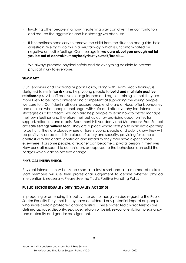- Involving other people in a non-threatening way can divert the confrontation and reduce the aggression and is a strategy we often use.
- It is sometimes necessary to remove the child from the situation and guide, hold or restrain. We try to do this in a neutral way, which is uncontaminated by negative or hostile feelings. Our message is **'we care about you enough not let you be out of control/hurt anybody/hurt yourself/break……..'**
- We always promote physical safety and do everything possible to prevent physical injury to everyone.

## **SUMMARY**

Our Behaviour and Emotional Support Policy, along with Team Teach training, is designed to **minimise risk** and help young people to **build and maintain positive relationships.** All staff receive clear guidance and regular training so that they are more likely to be both confident and competent at supporting the young people we care for. Confident staff can reassure people who are anxious, offer boundaries and choices when people challenge, with safe and effective physical intervention strategies as a last resort. We can also help people to learn how to better manage their own feelings and therefore their behaviour by providing opportunities for support, reflection and repair. Beaumont Hill Academy and Marchbank Free School are **safe settings without fear**. They are a place where staff go to work not expecting to be hurt. They are places where children, young people and adults know they will be positively cared for. It is a place of safety and security, providing for some a contrast with the chaos, confusion and instability they may have experienced elsewhere. For some people, a teacher can become a pivotal person in their lives. How our staff respond to our children, as opposed to the behaviour, can build the bridges which lead to positive change.

## **PHYSICAL INTERVENTION**

Physical intervention will only be used as a last resort and as a method of restraint. Staff members will use their professional judgement to decide whether physical intervention is necessary. Please See the Trust's Positive Handling Policy.

## **PUBLIC SECTOR EQUALITY DUTY (EQUALITY ACT 2010)**

In preparing or amending this policy, the author has given due regard to the Public Sector Equality Duty; that is they have considered any potential impact on people who share certain protected characteristics. These protected characteristics are defined as: race, disability, sex, age, religion or belief, sexual orientation, pregnancy and maternity and gender reassignment.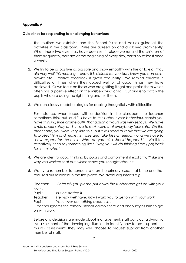## **Appendix A**

## **Guidelines for responding to challenging behaviour:**

- 1. The routines we establish and the School Rules and Values guide all the activities in the classroom. Rules are agreed on and displayed prominently. When these two essentials have been set in place we remind the children of them frequently, perhaps at the beginning of every day, certainly at least once a week.
- 2. We try to be as positive as possible and show empathy with the child e.g. *"You did very well this morning. I know it is difficult for you but I know you can calm down"* etc. Positive feedback is given frequently. We remind children in difficulties of times when they coped well or of good things they have achieved. Or we focus on those who are getting it right and praise them which often has a positive effect on the misbehaving child. Our aim is to catch the pupils who are doing the right thing and tell them.
- 3. We consciously model strategies for dealing thoughtfully with difficulties.

For instance, when faced with a decision in the classroom the teachers sometimes think out loud *"I'll have to think about your behaviour, should you have thinking time or time out? That action of yours was very serious. We have a rule about safety and I have to make sure that everybody feels safe. On the other hand, you were very kind to X, but Y will need to know that we are going to protect him and make him safe and take his hurt seriously and we have to show respect for the rules. What do you think should happen?"* We listen attentively, then say something like *"Okay, you will do thinking time / payback for 'n' minutes."* 

- 4. We are alert to good thinking by pupils and compliment it explicitly, *"I like the way you worked that out, which shows you thought about it.*
- 5. We try to remember to concentrate on the primary issue; that is the one that required our response in the first place. We avoid arguments e.g.

Teacher: *Peter will you please put down the rubber and get on with your work?*  Pupil: *But he started it.* 

Teacher: *He may well have, now I want you to get on with your work.* 

Pupil: *You never do nothing about him.* 

Teacher ignores the remark, stands calmly there and encourages him to get on with work.

Before any decisions are made about management, staff carry out a dynamic risk assessment of the developing situation to identify how to best support. In this risk assessment, they may well choose to request support from another member of staff.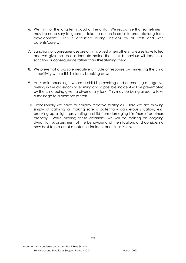- 6. We think of the long term good of the child. We recognise that sometimes it may be necessary to ignore or take no action in order to promote long-term development. This is discussed during sessions by all staff and with parents/carers.
- 7. Sanctions or consequences are only involved when other strategies have failed and we give the child adequate notice that their behaviour will lead to a sanction or consequence rather than threatening them.
- 8. We pre-empt a possible negative attitude or response by immersing the child in positivity where this is clearly breaking down.
- 9. Antiseptic bouncing where a child is provoking and or creating a negative feeling in the classroom or learning and a possible incident will be pre-empted by the child being given a diversionary task. This may be being asked to take a message to a member of staff.
- 10. Occasionally we have to employ reactive strategies. Here we are thinking simply of calming or making safe a potentially dangerous situation, e.g. breaking up a fight, preventing a child from damaging him/herself or others properly. While making these decisions, we will be making an ongoing dynamic risk assessment of the behaviour and the situation, and considering how best to pre-empt a potential incident and minimise risk.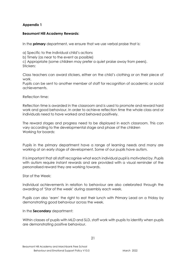## **Appendix 1**

## **Beaumont Hill Academy Rewards:**

In the **primary** department, we ensure that we use verbal praise that is:

a) Specific to the individual child's actions

b) Timely (as near to the event as possible)

c) Appropriate (some children may prefer a quiet praise away from peers). Stickers:

Class teachers can award stickers, either on the child's clothing or on their piece of work.

Pupils can be sent to another member of staff for recognition of academic or social achievements.

Reflection time:

Reflection time is awarded in the classroom and is used to promote and reward hard work and good behaviour. In order to achieve reflection time the whole class and or individuals need to have worked and behaved positively.

The reward stages and progress need to be displayed in each classroom. This can vary according to the developmental stage and phase of the children Working for boards:

Pupils in the primary department have a range of learning needs and many are working at an early stage of development. Some of our pupils have autism.

It is important that all staff recognise what each individual pupil is motivated by. Pupils with autism require instant rewards and are provided with a visual reminder of the personalised reward they are working towards.

Star of the Week:

Individual achievements in relation to behaviour are also celebrated through the awarding of 'Star of the week' during assembly each week.

Pupils can also 'earn' the right to eat their lunch with Primary Lead on a Friday by demonstrating good behaviour across the week.

In the **Secondary** department:

Within classes of pupils with MLD and SLD, staff work with pupils to identify when pupils are demonstrating positive behaviour.